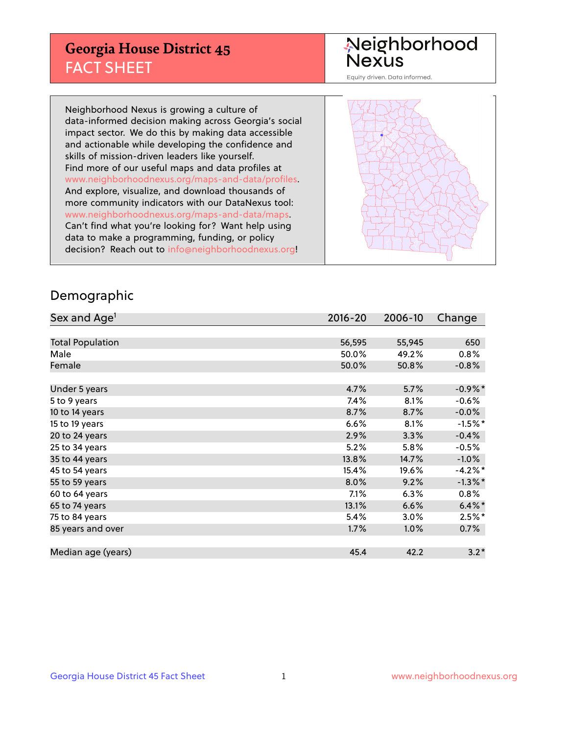## **Georgia House District 45** FACT SHEET

# Neighborhood<br>Nexus

Equity driven. Data informed.

Neighborhood Nexus is growing a culture of data-informed decision making across Georgia's social impact sector. We do this by making data accessible and actionable while developing the confidence and skills of mission-driven leaders like yourself. Find more of our useful maps and data profiles at www.neighborhoodnexus.org/maps-and-data/profiles. And explore, visualize, and download thousands of more community indicators with our DataNexus tool: www.neighborhoodnexus.org/maps-and-data/maps. Can't find what you're looking for? Want help using data to make a programming, funding, or policy decision? Reach out to [info@neighborhoodnexus.org!](mailto:info@neighborhoodnexus.org)



### Demographic

| Sex and Age <sup>1</sup> | $2016 - 20$ | 2006-10 | Change     |
|--------------------------|-------------|---------|------------|
|                          |             |         |            |
| <b>Total Population</b>  | 56,595      | 55,945  | 650        |
| Male                     | 50.0%       | 49.2%   | $0.8\%$    |
| Female                   | 50.0%       | 50.8%   | $-0.8%$    |
|                          |             |         |            |
| Under 5 years            | 4.7%        | 5.7%    | $-0.9\%$ * |
| 5 to 9 years             | 7.4%        | 8.1%    | $-0.6%$    |
| 10 to 14 years           | 8.7%        | 8.7%    | $-0.0%$    |
| 15 to 19 years           | 6.6%        | 8.1%    | $-1.5%$ *  |
| 20 to 24 years           | 2.9%        | 3.3%    | $-0.4%$    |
| 25 to 34 years           | 5.2%        | 5.8%    | $-0.5%$    |
| 35 to 44 years           | 13.8%       | 14.7%   | $-1.0%$    |
| 45 to 54 years           | 15.4%       | 19.6%   | $-4.2%$ *  |
| 55 to 59 years           | 8.0%        | 9.2%    | $-1.3\%$ * |
| 60 to 64 years           | $7.1\%$     | 6.3%    | 0.8%       |
| 65 to 74 years           | 13.1%       | 6.6%    | $6.4\%$ *  |
| 75 to 84 years           | 5.4%        | 3.0%    | $2.5%$ *   |
| 85 years and over        | 1.7%        | 1.0%    | 0.7%       |
|                          |             |         |            |
| Median age (years)       | 45.4        | 42.2    | $3.2*$     |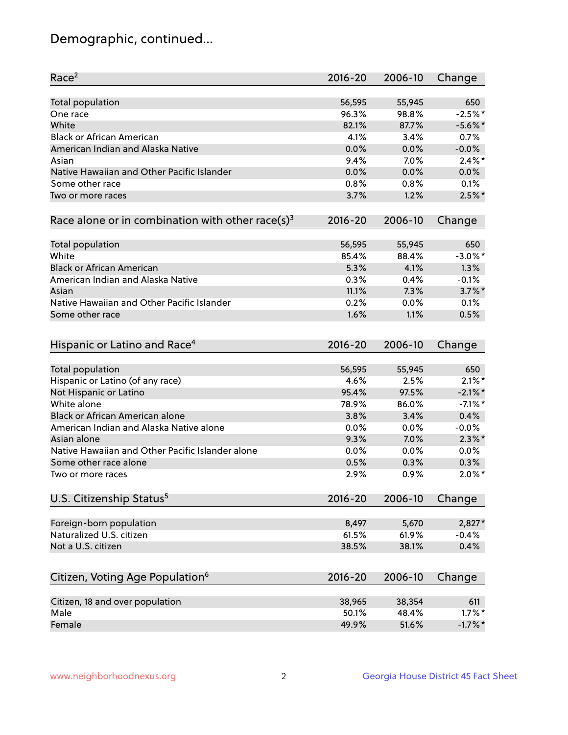## Demographic, continued...

| Race <sup>2</sup>                                            | $2016 - 20$     | 2006-10 | Change     |
|--------------------------------------------------------------|-----------------|---------|------------|
| <b>Total population</b>                                      | 56,595          | 55,945  | 650        |
| One race                                                     | 96.3%           | 98.8%   | $-2.5%$ *  |
| White                                                        | 82.1%           | 87.7%   | $-5.6\%$ * |
| <b>Black or African American</b>                             | 4.1%            | 3.4%    | 0.7%       |
| American Indian and Alaska Native                            | 0.0%            | 0.0%    | $-0.0%$    |
| Asian                                                        | 9.4%            | 7.0%    | $2.4\%$ *  |
| Native Hawaiian and Other Pacific Islander                   | 0.0%            | 0.0%    | 0.0%       |
| Some other race                                              | 0.8%            | 0.8%    | 0.1%       |
| Two or more races                                            | 3.7%            | 1.2%    | $2.5%$ *   |
| Race alone or in combination with other race(s) <sup>3</sup> | $2016 - 20$     | 2006-10 | Change     |
| Total population                                             | 56,595          | 55,945  | 650        |
| White                                                        | 85.4%           | 88.4%   | $-3.0\%$ * |
| <b>Black or African American</b>                             | 5.3%            | 4.1%    | 1.3%       |
| American Indian and Alaska Native                            | 0.3%            | 0.4%    | $-0.1%$    |
| Asian                                                        | 11.1%           | 7.3%    | $3.7\%$ *  |
| Native Hawaiian and Other Pacific Islander                   |                 |         |            |
|                                                              | 0.2%            | 0.0%    | 0.1%       |
| Some other race                                              | 1.6%            | 1.1%    | 0.5%       |
| Hispanic or Latino and Race <sup>4</sup>                     | $2016 - 20$     | 2006-10 | Change     |
| Total population                                             | 56,595          | 55,945  | 650        |
| Hispanic or Latino (of any race)                             | 4.6%            | 2.5%    | $2.1\%$ *  |
| Not Hispanic or Latino                                       | 95.4%           | 97.5%   | $-2.1\%$ * |
| White alone                                                  | 78.9%           | 86.0%   | $-7.1\%$ * |
| Black or African American alone                              | 3.8%            | 3.4%    | 0.4%       |
| American Indian and Alaska Native alone                      | 0.0%            | 0.0%    | $-0.0%$    |
| Asian alone                                                  | 9.3%            | 7.0%    | $2.3\%$ *  |
| Native Hawaiian and Other Pacific Islander alone             | 0.0%            | 0.0%    | 0.0%       |
| Some other race alone                                        | 0.5%            | 0.3%    | 0.3%       |
| Two or more races                                            | 2.9%            | 0.9%    | $2.0\%$ *  |
|                                                              |                 |         |            |
| U.S. Citizenship Status <sup>5</sup>                         | $2016 - 20$     | 2006-10 | Change     |
| Foreign-born population                                      | 8,497           | 5,670   | 2,827*     |
| Naturalized U.S. citizen                                     | 61.5%           | 61.9%   | $-0.4%$    |
| Not a U.S. citizen                                           | 38.5%           | 38.1%   | 0.4%       |
| Citizen, Voting Age Population <sup>6</sup>                  | 2016-20         | 2006-10 | Change     |
| Citizen, 18 and over population                              |                 | 38,354  | 611        |
| Male                                                         | 38,965<br>50.1% | 48.4%   | $1.7\%$ *  |
| Female                                                       | 49.9%           | 51.6%   | $-1.7\%$ * |
|                                                              |                 |         |            |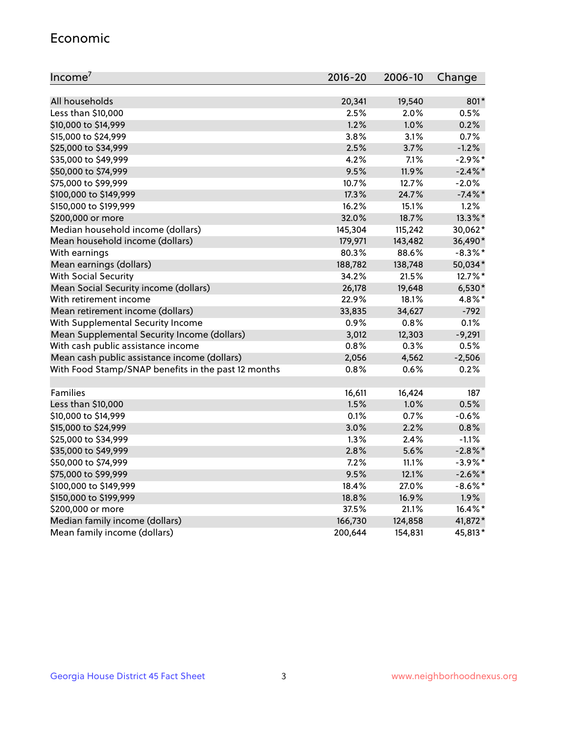#### Economic

| Income <sup>7</sup>                                 | $2016 - 20$ | 2006-10 | Change     |
|-----------------------------------------------------|-------------|---------|------------|
|                                                     |             |         |            |
| All households                                      | 20,341      | 19,540  | 801*       |
| Less than \$10,000                                  | 2.5%        | 2.0%    | 0.5%       |
| \$10,000 to \$14,999                                | 1.2%        | 1.0%    | 0.2%       |
| \$15,000 to \$24,999                                | 3.8%        | 3.1%    | 0.7%       |
| \$25,000 to \$34,999                                | 2.5%        | 3.7%    | $-1.2%$    |
| \$35,000 to \$49,999                                | 4.2%        | 7.1%    | $-2.9\%$ * |
| \$50,000 to \$74,999                                | 9.5%        | 11.9%   | $-2.4\%$ * |
| \$75,000 to \$99,999                                | 10.7%       | 12.7%   | $-2.0%$    |
| \$100,000 to \$149,999                              | 17.3%       | 24.7%   | $-7.4\%$ * |
| \$150,000 to \$199,999                              | 16.2%       | 15.1%   | 1.2%       |
| \$200,000 or more                                   | 32.0%       | 18.7%   | 13.3%*     |
| Median household income (dollars)                   | 145,304     | 115,242 | 30,062*    |
| Mean household income (dollars)                     | 179,971     | 143,482 | 36,490*    |
| With earnings                                       | 80.3%       | 88.6%   | $-8.3\%$ * |
| Mean earnings (dollars)                             | 188,782     | 138,748 | 50,034*    |
| <b>With Social Security</b>                         | 34.2%       | 21.5%   | 12.7%*     |
| Mean Social Security income (dollars)               | 26,178      | 19,648  | $6,530*$   |
| With retirement income                              | 22.9%       | 18.1%   | 4.8%*      |
| Mean retirement income (dollars)                    | 33,835      | 34,627  | $-792$     |
| With Supplemental Security Income                   | 0.9%        | 0.8%    | 0.1%       |
| Mean Supplemental Security Income (dollars)         | 3,012       | 12,303  | $-9,291$   |
| With cash public assistance income                  | 0.8%        | 0.3%    | 0.5%       |
| Mean cash public assistance income (dollars)        | 2,056       | 4,562   | $-2,506$   |
| With Food Stamp/SNAP benefits in the past 12 months | 0.8%        | 0.6%    | 0.2%       |
|                                                     |             |         |            |
| Families                                            | 16,611      | 16,424  | 187        |
| Less than \$10,000                                  | 1.5%        | 1.0%    | 0.5%       |
| \$10,000 to \$14,999                                | 0.1%        | 0.7%    | $-0.6%$    |
| \$15,000 to \$24,999                                | 3.0%        | 2.2%    | 0.8%       |
| \$25,000 to \$34,999                                | 1.3%        | 2.4%    | $-1.1%$    |
| \$35,000 to \$49,999                                | 2.8%        | 5.6%    | $-2.8\%$ * |
| \$50,000 to \$74,999                                | 7.2%        | 11.1%   | $-3.9\%$ * |
| \$75,000 to \$99,999                                | 9.5%        | 12.1%   | $-2.6\%$ * |
| \$100,000 to \$149,999                              | 18.4%       | 27.0%   | $-8.6\%$ * |
| \$150,000 to \$199,999                              | 18.8%       | 16.9%   | 1.9%       |
| \$200,000 or more                                   | 37.5%       | 21.1%   | 16.4%*     |
| Median family income (dollars)                      | 166,730     | 124,858 | 41,872*    |
| Mean family income (dollars)                        | 200,644     | 154,831 | 45,813*    |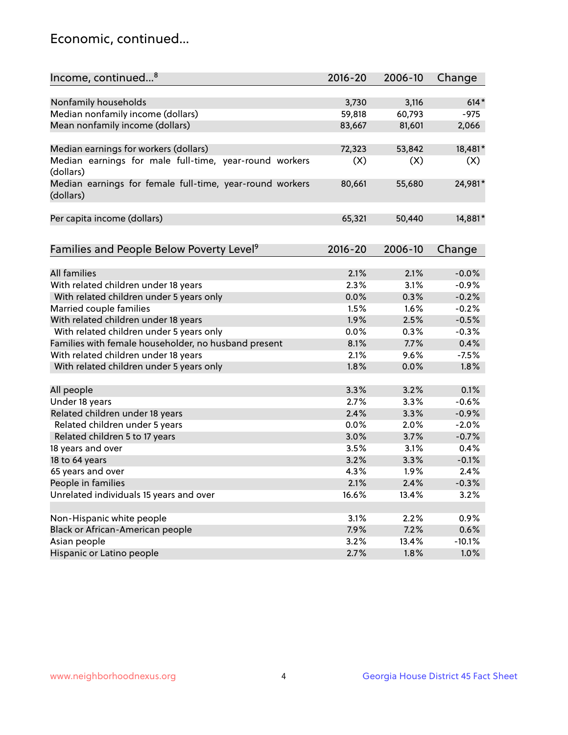## Economic, continued...

| Income, continued <sup>8</sup>                                        | 2016-20 | 2006-10 | Change   |
|-----------------------------------------------------------------------|---------|---------|----------|
|                                                                       |         |         |          |
| Nonfamily households                                                  | 3,730   | 3,116   | $614*$   |
| Median nonfamily income (dollars)                                     | 59,818  | 60,793  | $-975$   |
| Mean nonfamily income (dollars)                                       | 83,667  | 81,601  | 2,066    |
| Median earnings for workers (dollars)                                 | 72,323  | 53,842  | 18,481*  |
| Median earnings for male full-time, year-round workers                | (X)     | (X)     | (X)      |
| (dollars)                                                             |         |         |          |
| Median earnings for female full-time, year-round workers<br>(dollars) | 80,661  | 55,680  | 24,981*  |
| Per capita income (dollars)                                           | 65,321  | 50,440  | 14,881*  |
|                                                                       |         |         |          |
| Families and People Below Poverty Level <sup>9</sup>                  | 2016-20 | 2006-10 | Change   |
|                                                                       |         |         |          |
| <b>All families</b>                                                   | 2.1%    | 2.1%    | $-0.0%$  |
| With related children under 18 years                                  | 2.3%    | 3.1%    | $-0.9%$  |
| With related children under 5 years only                              | 0.0%    | 0.3%    | $-0.2%$  |
| Married couple families                                               | 1.5%    | 1.6%    | $-0.2%$  |
| With related children under 18 years                                  | 1.9%    | 2.5%    | $-0.5%$  |
| With related children under 5 years only                              | 0.0%    | 0.3%    | $-0.3%$  |
| Families with female householder, no husband present                  | 8.1%    | 7.7%    | 0.4%     |
| With related children under 18 years                                  | 2.1%    | 9.6%    | $-7.5%$  |
| With related children under 5 years only                              | 1.8%    | 0.0%    | 1.8%     |
| All people                                                            | 3.3%    | 3.2%    | 0.1%     |
| Under 18 years                                                        | 2.7%    | 3.3%    | $-0.6%$  |
| Related children under 18 years                                       | 2.4%    | 3.3%    | $-0.9%$  |
| Related children under 5 years                                        | 0.0%    | 2.0%    | $-2.0%$  |
| Related children 5 to 17 years                                        | 3.0%    | 3.7%    | $-0.7%$  |
| 18 years and over                                                     | 3.5%    | 3.1%    | 0.4%     |
| 18 to 64 years                                                        | 3.2%    | 3.3%    | $-0.1%$  |
| 65 years and over                                                     | 4.3%    | 1.9%    | 2.4%     |
| People in families                                                    | 2.1%    | 2.4%    | $-0.3%$  |
| Unrelated individuals 15 years and over                               | 16.6%   | 13.4%   | 3.2%     |
|                                                                       |         |         |          |
| Non-Hispanic white people                                             | 3.1%    | 2.2%    | 0.9%     |
| Black or African-American people                                      | 7.9%    | 7.2%    | 0.6%     |
| Asian people                                                          | 3.2%    | 13.4%   | $-10.1%$ |
| Hispanic or Latino people                                             | 2.7%    | 1.8%    | 1.0%     |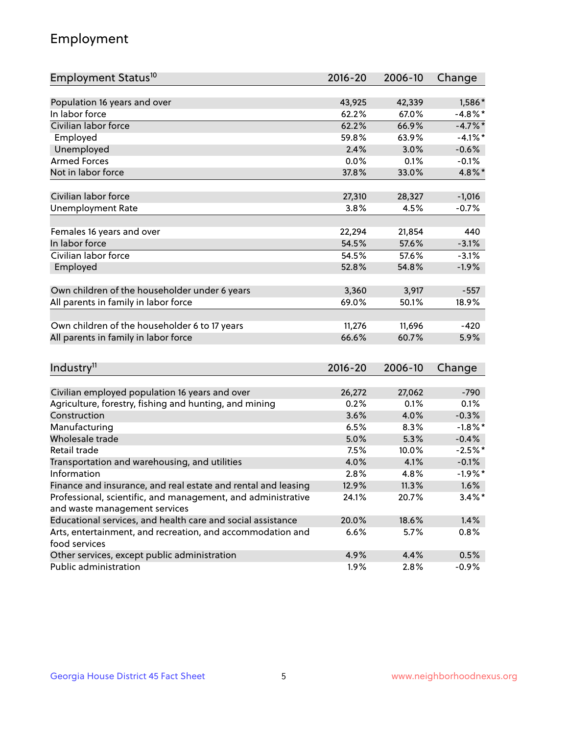## Employment

| Employment Status <sup>10</sup>                                             | $2016 - 20$ | 2006-10 | Change     |
|-----------------------------------------------------------------------------|-------------|---------|------------|
|                                                                             |             |         |            |
| Population 16 years and over                                                | 43,925      | 42,339  | 1,586*     |
| In labor force                                                              | 62.2%       | 67.0%   | $-4.8\%$ * |
| Civilian labor force                                                        | 62.2%       | 66.9%   | $-4.7%$ *  |
| Employed                                                                    | 59.8%       | 63.9%   | $-4.1%$ *  |
| Unemployed                                                                  | 2.4%        | 3.0%    | $-0.6%$    |
| <b>Armed Forces</b>                                                         | 0.0%        | 0.1%    | $-0.1%$    |
| Not in labor force                                                          | 37.8%       | 33.0%   | 4.8%*      |
| Civilian labor force                                                        |             |         | $-1,016$   |
|                                                                             | 27,310      | 28,327  |            |
| <b>Unemployment Rate</b>                                                    | 3.8%        | 4.5%    | $-0.7%$    |
| Females 16 years and over                                                   | 22,294      | 21,854  | 440        |
| In labor force                                                              | 54.5%       | 57.6%   | $-3.1%$    |
| Civilian labor force                                                        | 54.5%       | 57.6%   | $-3.1%$    |
| Employed                                                                    | 52.8%       | 54.8%   | $-1.9%$    |
|                                                                             |             |         |            |
| Own children of the householder under 6 years                               | 3,360       | 3,917   | $-557$     |
| All parents in family in labor force                                        | 69.0%       | 50.1%   | 18.9%      |
|                                                                             |             |         |            |
| Own children of the householder 6 to 17 years                               | 11,276      | 11,696  | $-420$     |
| All parents in family in labor force                                        | 66.6%       | 60.7%   | 5.9%       |
|                                                                             |             |         |            |
| Industry <sup>11</sup>                                                      | $2016 - 20$ | 2006-10 | Change     |
|                                                                             |             |         |            |
| Civilian employed population 16 years and over                              | 26,272      | 27,062  | $-790$     |
| Agriculture, forestry, fishing and hunting, and mining                      | 0.2%        | 0.1%    | 0.1%       |
| Construction                                                                | 3.6%        | 4.0%    | $-0.3%$    |
| Manufacturing                                                               | 6.5%        | 8.3%    | $-1.8\%$ * |
| Wholesale trade                                                             | 5.0%        | 5.3%    | $-0.4%$    |
| Retail trade                                                                | 7.5%        | 10.0%   | $-2.5%$ *  |
| Transportation and warehousing, and utilities                               | 4.0%        | 4.1%    | $-0.1%$    |
| Information                                                                 | 2.8%        | 4.8%    | $-1.9%$ *  |
| Finance and insurance, and real estate and rental and leasing               | 12.9%       | 11.3%   | $1.6\%$    |
| Professional, scientific, and management, and administrative                | 24.1%       | 20.7%   | $3.4\%$ *  |
| and waste management services                                               |             |         |            |
| Educational services, and health care and social assistance                 | 20.0%       | 18.6%   | 1.4%       |
| Arts, entertainment, and recreation, and accommodation and<br>food services | 6.6%        | 5.7%    | 0.8%       |
| Other services, except public administration                                | 4.9%        | 4.4%    | 0.5%       |
| Public administration                                                       | 1.9%        | 2.8%    | $-0.9%$    |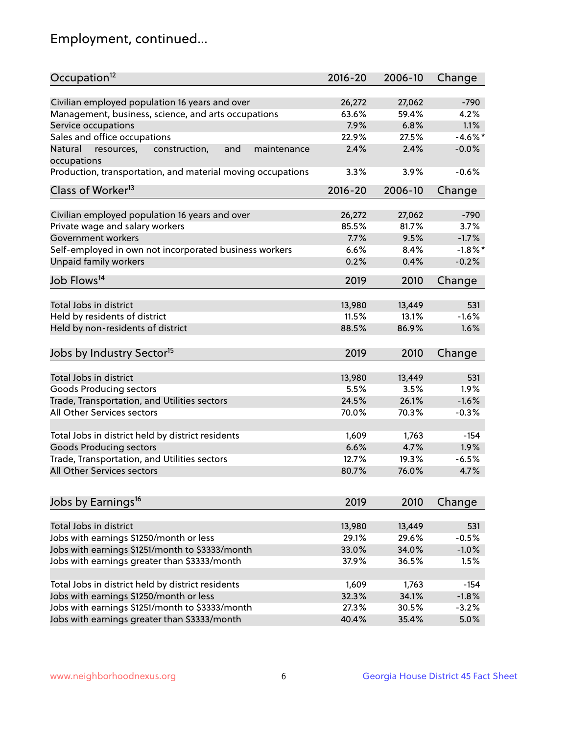## Employment, continued...

| Occupation <sup>12</sup>                                                    | $2016 - 20$ | 2006-10 | Change     |
|-----------------------------------------------------------------------------|-------------|---------|------------|
|                                                                             |             |         |            |
| Civilian employed population 16 years and over                              | 26,272      | 27,062  | $-790$     |
| Management, business, science, and arts occupations                         | 63.6%       | 59.4%   | 4.2%       |
| Service occupations                                                         | 7.9%        | 6.8%    | 1.1%       |
| Sales and office occupations                                                | 22.9%       | 27.5%   | $-4.6\%$ * |
| and<br>Natural<br>resources,<br>construction,<br>maintenance<br>occupations | 2.4%        | 2.4%    | $-0.0%$    |
| Production, transportation, and material moving occupations                 | 3.3%        | 3.9%    | $-0.6%$    |
| Class of Worker <sup>13</sup>                                               | $2016 - 20$ | 2006-10 | Change     |
|                                                                             |             |         |            |
| Civilian employed population 16 years and over                              | 26,272      | 27,062  | $-790$     |
| Private wage and salary workers                                             | 85.5%       | 81.7%   | 3.7%       |
| Government workers                                                          | 7.7%        | 9.5%    | $-1.7%$    |
| Self-employed in own not incorporated business workers                      | 6.6%        | 8.4%    | $-1.8%$ *  |
| Unpaid family workers                                                       | 0.2%        | 0.4%    | $-0.2%$    |
| Job Flows <sup>14</sup>                                                     | 2019        | 2010    | Change     |
|                                                                             |             |         |            |
| Total Jobs in district                                                      | 13,980      | 13,449  | 531        |
| Held by residents of district                                               | 11.5%       | 13.1%   | $-1.6%$    |
| Held by non-residents of district                                           | 88.5%       | 86.9%   | 1.6%       |
| Jobs by Industry Sector <sup>15</sup>                                       | 2019        | 2010    | Change     |
| Total Jobs in district                                                      | 13,980      | 13,449  | 531        |
| Goods Producing sectors                                                     | 5.5%        | 3.5%    | 1.9%       |
| Trade, Transportation, and Utilities sectors                                | 24.5%       | 26.1%   | $-1.6%$    |
| All Other Services sectors                                                  | 70.0%       | 70.3%   | $-0.3%$    |
|                                                                             |             |         |            |
| Total Jobs in district held by district residents                           | 1,609       | 1,763   | $-154$     |
| <b>Goods Producing sectors</b>                                              | 6.6%        | 4.7%    | 1.9%       |
| Trade, Transportation, and Utilities sectors                                | 12.7%       | 19.3%   | $-6.5%$    |
| All Other Services sectors                                                  | 80.7%       | 76.0%   | 4.7%       |
|                                                                             |             |         |            |
| Jobs by Earnings <sup>16</sup>                                              | 2019        | 2010    | Change     |
| Total Jobs in district                                                      | 13,980      | 13,449  | 531        |
| Jobs with earnings \$1250/month or less                                     | 29.1%       | 29.6%   | $-0.5%$    |
| Jobs with earnings \$1251/month to \$3333/month                             | 33.0%       | 34.0%   | $-1.0%$    |
| Jobs with earnings greater than \$3333/month                                | 37.9%       | 36.5%   | 1.5%       |
|                                                                             |             |         |            |
| Total Jobs in district held by district residents                           | 1,609       | 1,763   | $-154$     |
| Jobs with earnings \$1250/month or less                                     | 32.3%       | 34.1%   | $-1.8%$    |
| Jobs with earnings \$1251/month to \$3333/month                             | 27.3%       | 30.5%   | $-3.2%$    |
| Jobs with earnings greater than \$3333/month                                | 40.4%       | 35.4%   | 5.0%       |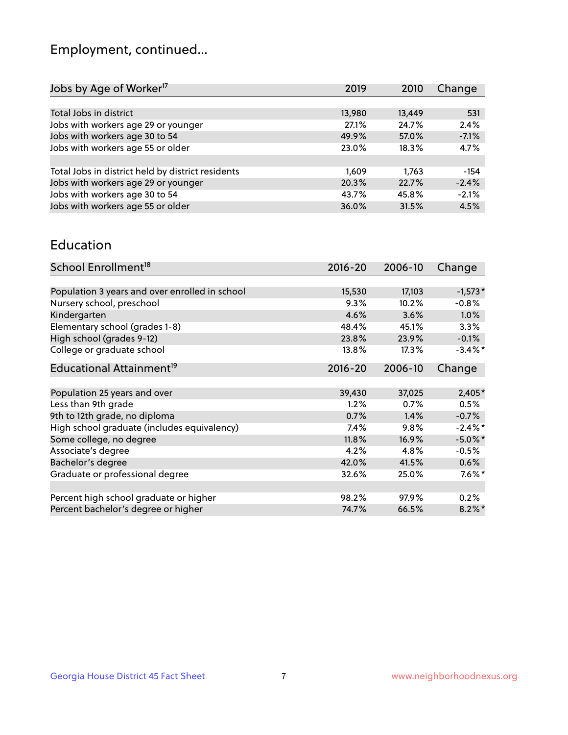## Employment, continued...

| Jobs by Age of Worker <sup>17</sup>               | 2019   | 2010   | Change  |
|---------------------------------------------------|--------|--------|---------|
|                                                   |        |        |         |
| Total Jobs in district                            | 13,980 | 13,449 | 531     |
| Jobs with workers age 29 or younger               | 27.1%  | 24.7%  | 2.4%    |
| Jobs with workers age 30 to 54                    | 49.9%  | 57.0%  | $-7.1%$ |
| Jobs with workers age 55 or older                 | 23.0%  | 18.3%  | 4.7%    |
|                                                   |        |        |         |
| Total Jobs in district held by district residents | 1.609  | 1.763  | $-154$  |
| Jobs with workers age 29 or younger               | 20.3%  | 22.7%  | $-2.4%$ |
| Jobs with workers age 30 to 54                    | 43.7%  | 45.8%  | $-2.1%$ |
| Jobs with workers age 55 or older                 | 36.0%  | 31.5%  | 4.5%    |
|                                                   |        |        |         |

#### Education

| School Enrollment <sup>18</sup>                | $2016 - 20$ | 2006-10 | Change     |
|------------------------------------------------|-------------|---------|------------|
|                                                |             |         |            |
| Population 3 years and over enrolled in school | 15,530      | 17,103  | $-1,573*$  |
| Nursery school, preschool                      | 9.3%        | 10.2%   | $-0.8%$    |
| Kindergarten                                   | 4.6%        | 3.6%    | 1.0%       |
| Elementary school (grades 1-8)                 | 48.4%       | 45.1%   | $3.3\%$    |
| High school (grades 9-12)                      | 23.8%       | 23.9%   | $-0.1%$    |
| College or graduate school                     | 13.8%       | 17.3%   | $-3.4\%$ * |
| Educational Attainment <sup>19</sup>           | $2016 - 20$ | 2006-10 | Change     |
|                                                |             |         |            |
| Population 25 years and over                   | 39,430      | 37,025  | $2,405*$   |
| Less than 9th grade                            | 1.2%        | 0.7%    | 0.5%       |
| 9th to 12th grade, no diploma                  | 0.7%        | 1.4%    | $-0.7%$    |
| High school graduate (includes equivalency)    | $7.4\%$     | 9.8%    | $-2.4\%$ * |
| Some college, no degree                        | 11.8%       | 16.9%   | $-5.0\%$ * |
| Associate's degree                             | 4.2%        | 4.8%    | $-0.5%$    |
| Bachelor's degree                              | 42.0%       | 41.5%   | $0.6\%$    |
| Graduate or professional degree                | 32.6%       | 25.0%   | $7.6\%$ *  |
|                                                |             |         |            |
| Percent high school graduate or higher         | 98.2%       | 97.9%   | 0.2%       |
| Percent bachelor's degree or higher            | 74.7%       | 66.5%   | $8.2\%$ *  |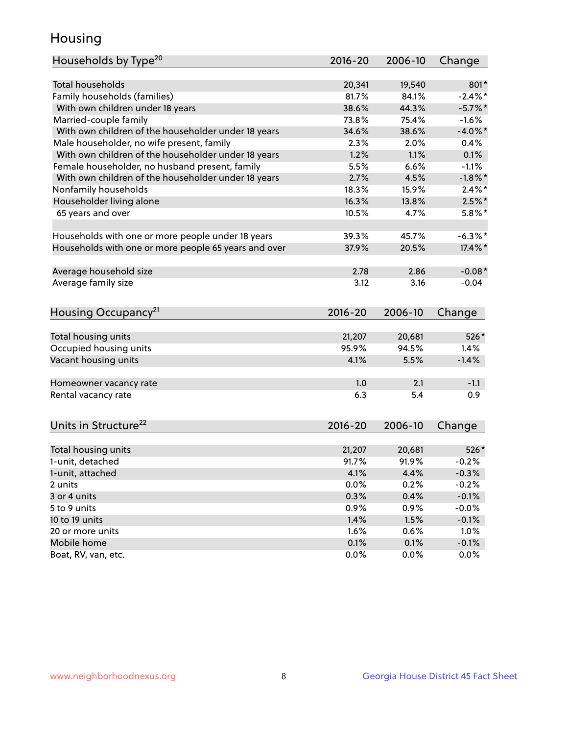## Housing

| Households by Type <sup>20</sup>                     | 2016-20     | 2006-10 | Change     |
|------------------------------------------------------|-------------|---------|------------|
|                                                      |             |         |            |
| <b>Total households</b>                              | 20,341      | 19,540  | 801*       |
| Family households (families)                         | 81.7%       | 84.1%   | $-2.4%$    |
| With own children under 18 years                     | 38.6%       | 44.3%   | $-5.7\%$ * |
| Married-couple family                                | 73.8%       | 75.4%   | $-1.6%$    |
| With own children of the householder under 18 years  | 34.6%       | 38.6%   | $-4.0\%$ * |
| Male householder, no wife present, family            | 2.3%        | 2.0%    | 0.4%       |
| With own children of the householder under 18 years  | 1.2%        | 1.1%    | 0.1%       |
| Female householder, no husband present, family       | 5.5%        | 6.6%    | $-1.1%$    |
| With own children of the householder under 18 years  | 2.7%        | 4.5%    | $-1.8%$ *  |
| Nonfamily households                                 | 18.3%       | 15.9%   | $2.4\%$ *  |
| Householder living alone                             | 16.3%       | 13.8%   | $2.5\%$ *  |
| 65 years and over                                    | 10.5%       | 4.7%    | $5.8\%$ *  |
| Households with one or more people under 18 years    | 39.3%       | 45.7%   | $-6.3\%$ * |
| Households with one or more people 65 years and over | 37.9%       | 20.5%   | 17.4%*     |
|                                                      | 2.78        | 2.86    | $-0.08*$   |
| Average household size<br>Average family size        | 3.12        | 3.16    | $-0.04$    |
|                                                      |             |         |            |
| Housing Occupancy <sup>21</sup>                      | $2016 - 20$ | 2006-10 | Change     |
| Total housing units                                  | 21,207      | 20,681  | 526*       |
| Occupied housing units                               | 95.9%       | 94.5%   | 1.4%       |
| Vacant housing units                                 | 4.1%        | 5.5%    | $-1.4%$    |
|                                                      |             |         |            |
| Homeowner vacancy rate                               | 1.0         | 2.1     | $-1.1$     |
| Rental vacancy rate                                  | 6.3         | 5.4     | 0.9        |
| Units in Structure <sup>22</sup>                     | 2016-20     | 2006-10 | Change     |
| Total housing units                                  | 21,207      | 20,681  | 526*       |
| 1-unit, detached                                     | 91.7%       | 91.9%   | $-0.2%$    |
| 1-unit, attached                                     | 4.1%        | 4.4%    | $-0.3%$    |
| 2 units                                              | 0.0%        | 0.2%    | $-0.2%$    |
| 3 or 4 units                                         |             |         |            |
| 5 to 9 units                                         | 0.3%        | 0.4%    | $-0.1%$    |
|                                                      | 0.9%        | 0.9%    | $-0.0%$    |
| 10 to 19 units                                       | 1.4%        | 1.5%    | $-0.1%$    |
| 20 or more units                                     | 1.6%        | 0.6%    | 1.0%       |
| Mobile home                                          | 0.1%        | 0.1%    | $-0.1%$    |
| Boat, RV, van, etc.                                  | 0.0%        | $0.0\%$ | 0.0%       |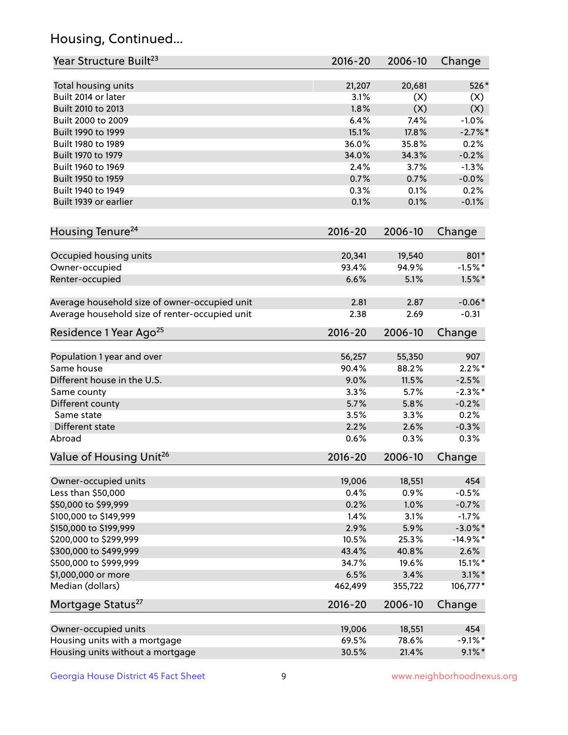## Housing, Continued...

| Year Structure Built <sup>23</sup>             | 2016-20     | 2006-10 | Change     |
|------------------------------------------------|-------------|---------|------------|
| Total housing units                            | 21,207      | 20,681  | 526*       |
| Built 2014 or later                            | 3.1%        | (X)     | (X)        |
| Built 2010 to 2013                             | 1.8%        | (X)     | (X)        |
| Built 2000 to 2009                             | 6.4%        | 7.4%    | $-1.0%$    |
| Built 1990 to 1999                             | 15.1%       | 17.8%   | $-2.7%$    |
| Built 1980 to 1989                             | 36.0%       | 35.8%   | 0.2%       |
| Built 1970 to 1979                             | 34.0%       | 34.3%   | $-0.2%$    |
| Built 1960 to 1969                             | 2.4%        | 3.7%    | $-1.3%$    |
| Built 1950 to 1959                             | 0.7%        | 0.7%    | $-0.0%$    |
| Built 1940 to 1949                             | 0.3%        | 0.1%    | 0.2%       |
| Built 1939 or earlier                          | 0.1%        | 0.1%    | $-0.1%$    |
| Housing Tenure <sup>24</sup>                   | $2016 - 20$ | 2006-10 | Change     |
| Occupied housing units                         | 20,341      | 19,540  | 801*       |
| Owner-occupied                                 | 93.4%       | 94.9%   | $-1.5%$ *  |
| Renter-occupied                                | 6.6%        | 5.1%    | $1.5\%$ *  |
| Average household size of owner-occupied unit  | 2.81        | 2.87    | $-0.06*$   |
| Average household size of renter-occupied unit | 2.38        | 2.69    | $-0.31$    |
| Residence 1 Year Ago <sup>25</sup>             | $2016 - 20$ | 2006-10 | Change     |
| Population 1 year and over                     | 56,257      | 55,350  | 907        |
| Same house                                     | 90.4%       | 88.2%   | $2.2\%$ *  |
| Different house in the U.S.                    | 9.0%        | 11.5%   | $-2.5%$    |
| Same county                                    | 3.3%        | 5.7%    | $-2.3\%$ * |
| Different county                               | 5.7%        | 5.8%    | $-0.2%$    |
| Same state                                     | 3.5%        | 3.3%    | 0.2%       |
| Different state                                | 2.2%        | 2.6%    | $-0.3%$    |
| Abroad                                         | 0.6%        | 0.3%    | 0.3%       |
| Value of Housing Unit <sup>26</sup>            | $2016 - 20$ | 2006-10 | Change     |
| Owner-occupied units                           | 19,006      | 18,551  | 454        |
| Less than \$50,000                             | 0.4%        | 0.9%    | $-0.5%$    |
| \$50,000 to \$99,999                           | 0.2%        | 1.0%    | $-0.7%$    |
| \$100,000 to \$149,999                         | 1.4%        | 3.1%    | $-1.7%$    |
| \$150,000 to \$199,999                         | 2.9%        | 5.9%    | $-3.0\%$ * |
| \$200,000 to \$299,999                         | 10.5%       | 25.3%   | $-14.9%$ * |
| \$300,000 to \$499,999                         | 43.4%       | 40.8%   | 2.6%       |
| \$500,000 to \$999,999                         | 34.7%       | 19.6%   | $15.1\%$ * |
| \$1,000,000 or more                            | 6.5%        | 3.4%    | $3.1\%$ *  |
| Median (dollars)                               | 462,499     | 355,722 | 106,777*   |
| Mortgage Status <sup>27</sup>                  | $2016 - 20$ | 2006-10 | Change     |
| Owner-occupied units                           | 19,006      | 18,551  | 454        |
| Housing units with a mortgage                  | 69.5%       | 78.6%   | $-9.1\%$ * |
| Housing units without a mortgage               | 30.5%       | 21.4%   | $9.1\%$ *  |
|                                                |             |         |            |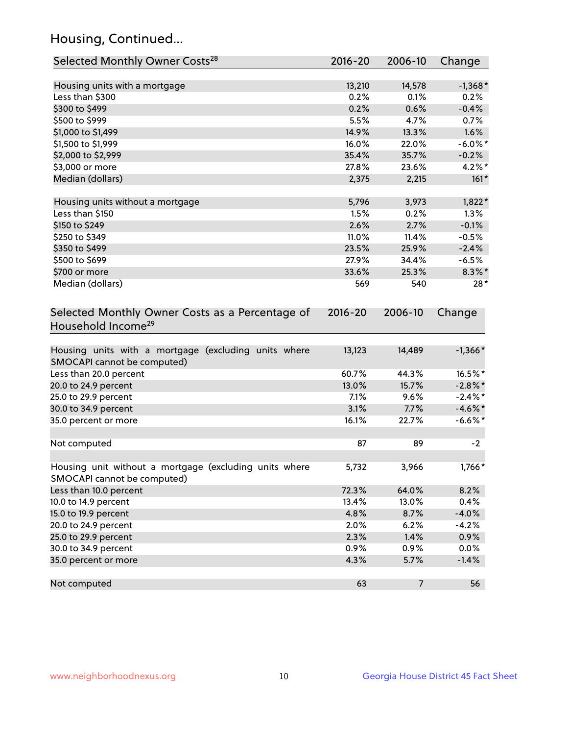## Housing, Continued...

| Selected Monthly Owner Costs <sup>28</sup>                                            | $2016 - 20$ | 2006-10        | Change     |
|---------------------------------------------------------------------------------------|-------------|----------------|------------|
| Housing units with a mortgage                                                         | 13,210      | 14,578         | $-1,368*$  |
| Less than \$300                                                                       | 0.2%        | 0.1%           | 0.2%       |
| \$300 to \$499                                                                        | 0.2%        | 0.6%           | $-0.4%$    |
| \$500 to \$999                                                                        | 5.5%        | 4.7%           | 0.7%       |
| \$1,000 to \$1,499                                                                    | 14.9%       | 13.3%          | 1.6%       |
| \$1,500 to \$1,999                                                                    | 16.0%       | 22.0%          | $-6.0\%$ * |
| \$2,000 to \$2,999                                                                    | 35.4%       | 35.7%          | $-0.2%$    |
| \$3,000 or more                                                                       | 27.8%       | 23.6%          | $4.2\%$ *  |
| Median (dollars)                                                                      | 2,375       | 2,215          | $161*$     |
| Housing units without a mortgage                                                      | 5,796       | 3,973          | $1,822*$   |
| Less than \$150                                                                       | 1.5%        | 0.2%           | 1.3%       |
| \$150 to \$249                                                                        | 2.6%        | 2.7%           | $-0.1%$    |
| \$250 to \$349                                                                        | 11.0%       | 11.4%          | $-0.5%$    |
| \$350 to \$499                                                                        | 23.5%       | 25.9%          | $-2.4%$    |
| \$500 to \$699                                                                        | 27.9%       | 34.4%          | $-6.5%$    |
| \$700 or more                                                                         | 33.6%       | 25.3%          | $8.3\%$ *  |
| Median (dollars)                                                                      | 569         | 540            | $28*$      |
| Selected Monthly Owner Costs as a Percentage of<br>Household Income <sup>29</sup>     | $2016 - 20$ | 2006-10        | Change     |
| Housing units with a mortgage (excluding units where<br>SMOCAPI cannot be computed)   | 13,123      | 14,489         | $-1,366*$  |
| Less than 20.0 percent                                                                | 60.7%       | 44.3%          | 16.5%*     |
| 20.0 to 24.9 percent                                                                  | 13.0%       | 15.7%          | $-2.8\%$ * |
| 25.0 to 29.9 percent                                                                  | 7.1%        | 9.6%           | $-2.4\%$ * |
| 30.0 to 34.9 percent                                                                  | 3.1%        | 7.7%           | $-4.6\%$ * |
| 35.0 percent or more                                                                  | 16.1%       | 22.7%          | $-6.6\%$ * |
| Not computed                                                                          | 87          | 89             | $-2$       |
| Housing unit without a mortgage (excluding units where<br>SMOCAPI cannot be computed) | 5,732       | 3,966          | 1,766*     |
| Less than 10.0 percent                                                                | 72.3%       | 64.0%          | 8.2%       |
| 10.0 to 14.9 percent                                                                  | 13.4%       | 13.0%          | 0.4%       |
| 15.0 to 19.9 percent                                                                  | 4.8%        | 8.7%           | $-4.0%$    |
| 20.0 to 24.9 percent                                                                  | 2.0%        | 6.2%           | $-4.2%$    |
| 25.0 to 29.9 percent                                                                  | 2.3%        | 1.4%           | 0.9%       |
| 30.0 to 34.9 percent                                                                  | 0.9%        | 0.9%           | 0.0%       |
| 35.0 percent or more                                                                  | 4.3%        | 5.7%           | $-1.4%$    |
| Not computed                                                                          | 63          | $\overline{7}$ | 56         |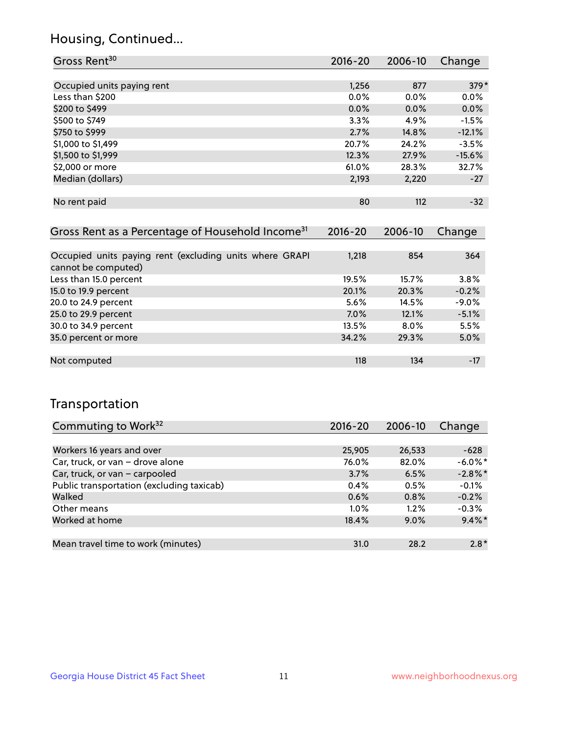## Housing, Continued...

| Gross Rent <sup>30</sup>   | 2016-20 | 2006-10 | Change   |
|----------------------------|---------|---------|----------|
|                            |         |         |          |
| Occupied units paying rent | 1,256   | 877     | $379*$   |
| Less than \$200            | $0.0\%$ | $0.0\%$ | $0.0\%$  |
| \$200 to \$499             | $0.0\%$ | $0.0\%$ | 0.0%     |
| \$500 to \$749             | 3.3%    | 4.9%    | $-1.5%$  |
| \$750 to \$999             | 2.7%    | 14.8%   | $-12.1%$ |
| \$1,000 to \$1,499         | 20.7%   | 24.2%   | $-3.5%$  |
| \$1,500 to \$1,999         | 12.3%   | 27.9%   | $-15.6%$ |
| \$2,000 or more            | 61.0%   | 28.3%   | 32.7%    |
| Median (dollars)           | 2,193   | 2,220   | $-27$    |
|                            |         |         |          |
| No rent paid               | 80      | 112     | $-32$    |

| Gross Rent as a Percentage of Household Income <sup>31</sup>                   | $2016 - 20$ | 2006-10 | Change  |
|--------------------------------------------------------------------------------|-------------|---------|---------|
|                                                                                |             |         |         |
| Occupied units paying rent (excluding units where GRAPI<br>cannot be computed) | 1,218       | 854     | 364     |
| Less than 15.0 percent                                                         | 19.5%       | 15.7%   | 3.8%    |
| 15.0 to 19.9 percent                                                           | 20.1%       | 20.3%   | $-0.2%$ |
| 20.0 to 24.9 percent                                                           | 5.6%        | 14.5%   | $-9.0%$ |
| 25.0 to 29.9 percent                                                           | 7.0%        | 12.1%   | $-5.1%$ |
| 30.0 to 34.9 percent                                                           | 13.5%       | $8.0\%$ | 5.5%    |
| 35.0 percent or more                                                           | 34.2%       | 29.3%   | 5.0%    |
|                                                                                |             |         |         |
| Not computed                                                                   | 118         | 134     | $-17$   |

## Transportation

| Commuting to Work <sup>32</sup>           | 2016-20 | 2006-10 | Change     |
|-------------------------------------------|---------|---------|------------|
|                                           |         |         |            |
| Workers 16 years and over                 | 25,905  | 26,533  | $-628$     |
| Car, truck, or van - drove alone          | 76.0%   | 82.0%   | $-6.0\%$ * |
| Car, truck, or van - carpooled            | 3.7%    | 6.5%    | $-2.8\%$ * |
| Public transportation (excluding taxicab) | $0.4\%$ | 0.5%    | $-0.1%$    |
| Walked                                    | 0.6%    | 0.8%    | $-0.2%$    |
| Other means                               | $1.0\%$ | 1.2%    | $-0.3%$    |
| Worked at home                            | 18.4%   | 9.0%    | $9.4\%$ *  |
|                                           |         |         |            |
| Mean travel time to work (minutes)        | 31.0    | 28.2    | $2.8*$     |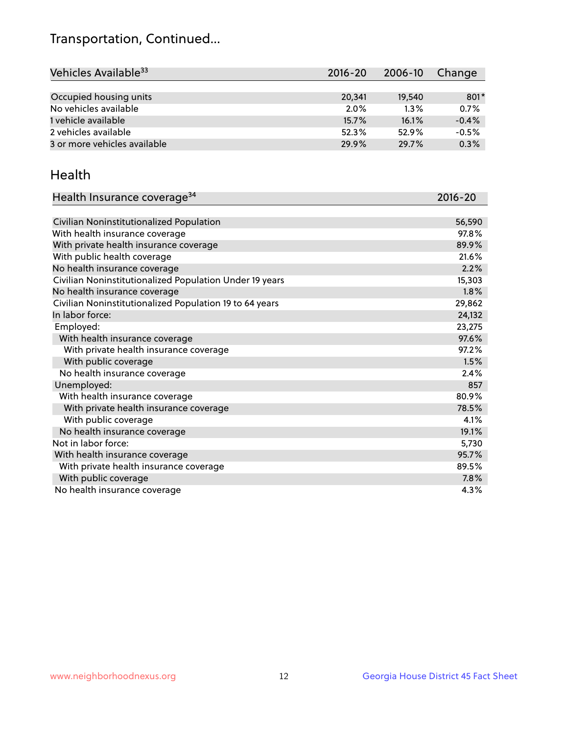## Transportation, Continued...

| Vehicles Available <sup>33</sup> | $2016 - 20$ | 2006-10 | Change  |
|----------------------------------|-------------|---------|---------|
|                                  |             |         |         |
| Occupied housing units           | 20.341      | 19,540  | 801*    |
| No vehicles available            | $2.0\%$     | 1.3%    | 0.7%    |
| 1 vehicle available              | 15.7%       | 16.1%   | $-0.4%$ |
| 2 vehicles available             | 52.3%       | 52.9%   | $-0.5%$ |
| 3 or more vehicles available     | 29.9%       | 29.7%   | 0.3%    |

#### Health

| Health Insurance coverage <sup>34</sup>                 | 2016-20 |
|---------------------------------------------------------|---------|
|                                                         |         |
| Civilian Noninstitutionalized Population                | 56,590  |
| With health insurance coverage                          | 97.8%   |
| With private health insurance coverage                  | 89.9%   |
| With public health coverage                             | 21.6%   |
| No health insurance coverage                            | 2.2%    |
| Civilian Noninstitutionalized Population Under 19 years | 15,303  |
| No health insurance coverage                            | 1.8%    |
| Civilian Noninstitutionalized Population 19 to 64 years | 29,862  |
| In labor force:                                         | 24,132  |
| Employed:                                               | 23,275  |
| With health insurance coverage                          | 97.6%   |
| With private health insurance coverage                  | 97.2%   |
| With public coverage                                    | 1.5%    |
| No health insurance coverage                            | 2.4%    |
| Unemployed:                                             | 857     |
| With health insurance coverage                          | 80.9%   |
| With private health insurance coverage                  | 78.5%   |
| With public coverage                                    | 4.1%    |
| No health insurance coverage                            | 19.1%   |
| Not in labor force:                                     | 5,730   |
| With health insurance coverage                          | 95.7%   |
| With private health insurance coverage                  | 89.5%   |
| With public coverage                                    | 7.8%    |
| No health insurance coverage                            | 4.3%    |